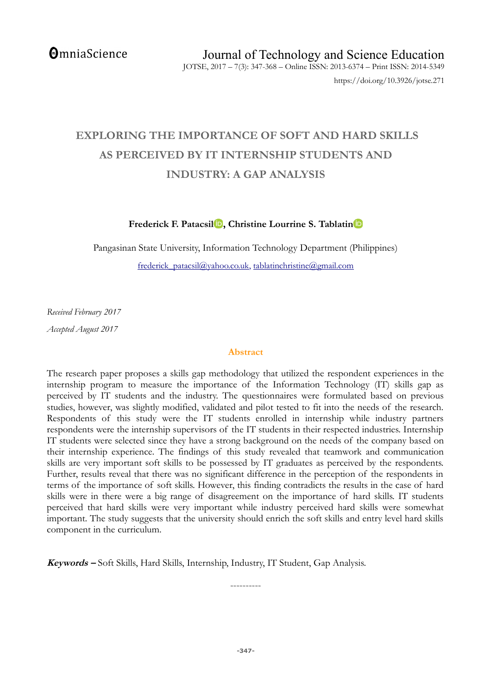# **EXPLORING THE IMPORTANCE OF SOFT AND HARD SKILLS AS PERCEIVED BY IT INTERNSHIP STUDENTS AND INDUSTRY: A GAP ANALYSIS**

**Frederick F. Patacsi[l](http://orcid.org/0000-0002-6833-0597) , Christine Lourrine S. Tablati[n](http://orcid.org/0000-0001-5456-2322)**

Pangasinan State University, Information Technology Department (Philippines)

[frederick\\_patacsil@yahoo.co.uk,](mailto:frederick_patacsil@yahoo.co.uk) [tablatinchristine@gmail.com](mailto:tablatinchristine@gmail.com)

*Received February 2017 Accepted August 2017*

# **Abstract**

The research paper proposes a skills gap methodology that utilized the respondent experiences in the internship program to measure the importance of the Information Technology (IT) skills gap as perceived by IT students and the industry. The questionnaires were formulated based on previous studies, however, was slightly modified, validated and pilot tested to fit into the needs of the research. Respondents of this study were the IT students enrolled in internship while industry partners respondents were the internship supervisors of the IT students in their respected industries. Internship IT students were selected since they have a strong background on the needs of the company based on their internship experience. The findings of this study revealed that teamwork and communication skills are very important soft skills to be possessed by IT graduates as perceived by the respondents. Further, results reveal that there was no significant difference in the perception of the respondents in terms of the importance of soft skills. However, this finding contradicts the results in the case of hard skills were in there were a big range of disagreement on the importance of hard skills. IT students perceived that hard skills were very important while industry perceived hard skills were somewhat important. The study suggests that the university should enrich the soft skills and entry level hard skills component in the curriculum.

**Keywords –** Soft Skills, Hard Skills, Internship, Industry, IT Student, Gap Analysis.

----------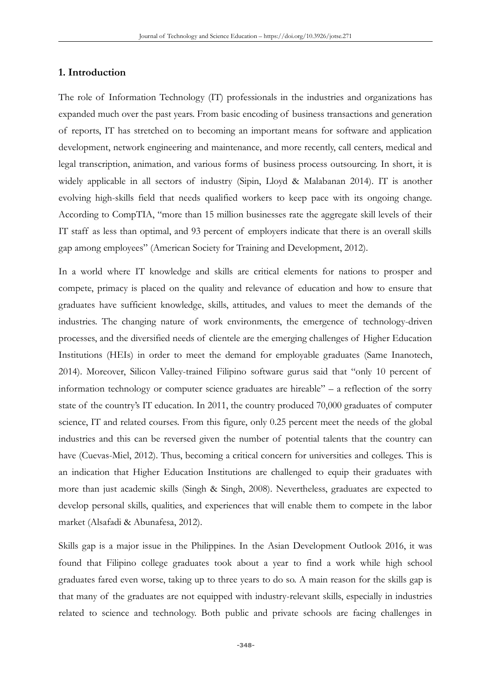### **1. Introduction**

The role of Information Technology (IT) professionals in the industries and organizations has expanded much over the past years. From basic encoding of business transactions and generation of reports, IT has stretched on to becoming an important means for software and application development, network engineering and maintenance, and more recently, call centers, medical and legal transcription, animation, and various forms of business process outsourcing. In short, it is widely applicable in all sectors of industry (Sipin, Lloyd & Malabanan 2014). IT is another evolving high-skills field that needs qualified workers to keep pace with its ongoing change. According to CompTIA, "more than 15 million businesses rate the aggregate skill levels of their IT staff as less than optimal, and 93 percent of employers indicate that there is an overall skills gap among employees" (American Society for Training and Development, 2012).

In a world where IT knowledge and skills are critical elements for nations to prosper and compete, primacy is placed on the quality and relevance of education and how to ensure that graduates have sufficient knowledge, skills, attitudes, and values to meet the demands of the industries. The changing nature of work environments, the emergence of technology-driven processes, and the diversified needs of clientele are the emerging challenges of Higher Education Institutions (HEIs) in order to meet the demand for employable graduates (Same Inanotech, 2014). Moreover, Silicon Valley-trained Filipino software gurus said that "only 10 percent of information technology or computer science graduates are hireable" – a reflection of the sorry state of the country's IT education. In 2011, the country produced 70,000 graduates of computer science, IT and related courses. From this figure, only 0.25 percent meet the needs of the global industries and this can be reversed given the number of potential talents that the country can have (Cuevas-Miel, 2012). Thus, becoming a critical concern for universities and colleges. This is an indication that Higher Education Institutions are challenged to equip their graduates with more than just academic skills (Singh & Singh, 2008). Nevertheless, graduates are expected to develop personal skills, qualities, and experiences that will enable them to compete in the labor market (Alsafadi & Abunafesa, 2012).

Skills gap is a major issue in the Philippines. In the Asian Development Outlook 2016, it was found that Filipino college graduates took about a year to find a work while high school graduates fared even worse, taking up to three years to do so. A main reason for the skills gap is that many of the graduates are not equipped with industry-relevant skills, especially in industries related to science and technology. Both public and private schools are facing challenges in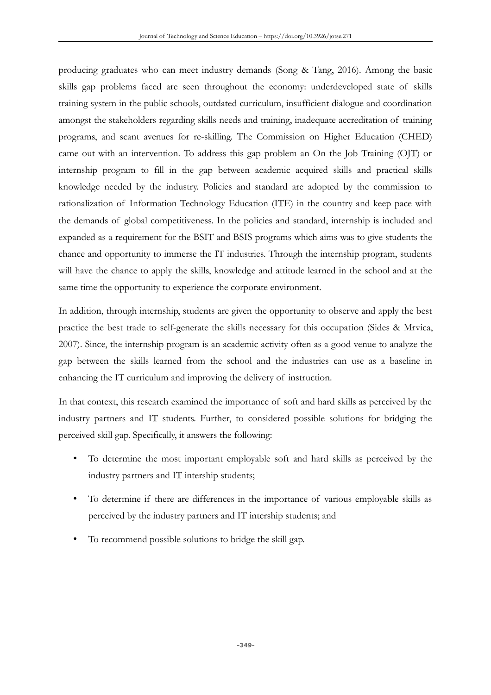producing graduates who can meet industry demands (Song & Tang, 2016). Among the basic skills gap problems faced are seen throughout the economy: underdeveloped state of skills training system in the public schools, outdated curriculum, insufficient dialogue and coordination amongst the stakeholders regarding skills needs and training, inadequate accreditation of training programs, and scant avenues for re-skilling. The Commission on Higher Education (CHED) came out with an intervention. To address this gap problem an On the Job Training (OJT) or internship program to fill in the gap between academic acquired skills and practical skills knowledge needed by the industry. Policies and standard are adopted by the commission to rationalization of Information Technology Education (ITE) in the country and keep pace with the demands of global competitiveness. In the policies and standard, internship is included and expanded as a requirement for the BSIT and BSIS programs which aims was to give students the chance and opportunity to immerse the IT industries. Through the internship program, students will have the chance to apply the skills, knowledge and attitude learned in the school and at the same time the opportunity to experience the corporate environment.

In addition, through internship, students are given the opportunity to observe and apply the best practice the best trade to self-generate the skills necessary for this occupation (Sides & Mrvica, 2007). Since, the internship program is an academic activity often as a good venue to analyze the gap between the skills learned from the school and the industries can use as a baseline in enhancing the IT curriculum and improving the delivery of instruction.

In that context, this research examined the importance of soft and hard skills as perceived by the industry partners and IT students. Further, to considered possible solutions for bridging the perceived skill gap. Specifically, it answers the following:

- To determine the most important employable soft and hard skills as perceived by the industry partners and IT intership students;
- To determine if there are differences in the importance of various employable skills as perceived by the industry partners and IT intership students; and
- To recommend possible solutions to bridge the skill gap.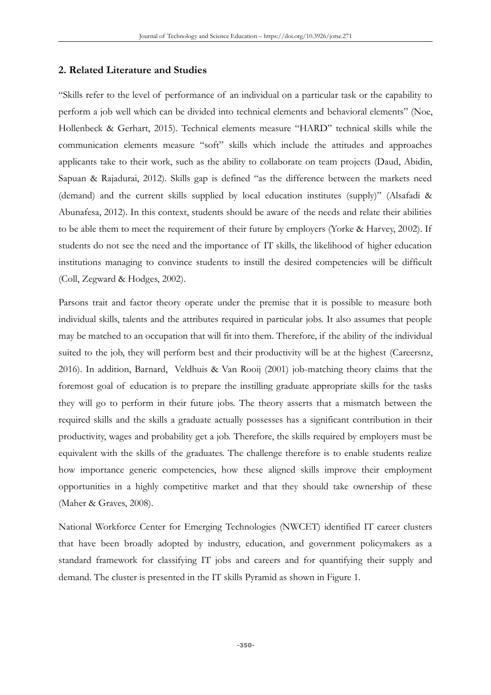# **2. Related Literature and Studies**

"Skills refer to the level of performance of an individual on a particular task or the capability to perform a job well which can be divided into technical elements and behavioral elements" (Noe, Hollenbeck & Gerhart, 2015). Technical elements measure "HARD" technical skills while the communication elements measure "soft" skills which include the attitudes and approaches applicants take to their work, such as the ability to collaborate on team projects (Daud, Abidin, Sapuan & Rajadurai, 2012). Skills gap is defined "as the difference between the markets need (demand) and the current skills supplied by local education institutes (supply)" (Alsafadi & Abunafesa, 2012). In this context, students should be aware of the needs and relate their abilities to be able them to meet the requirement of their future by employers (Yorke & Harvey, 2002). If students do not see the need and the importance of IT skills, the likelihood of higher education institutions managing to convince students to instill the desired competencies will be difficult (Coll, Zegward & Hodges, 2002).

Parsons trait and factor theory operate under the premise that it is possible to measure both individual skills, talents and the attributes required in particular jobs. It also assumes that people may be matched to an occupation that will fit into them. Therefore, if the ability of the individual suited to the job, they will perform best and their productivity will be at the highest (Careersnz, 2016). In addition, Barnard, Veldhuis & Van Rooij (2001) job-matching theory claims that the foremost goal of education is to prepare the instilling graduate appropriate skills for the tasks they will go to perform in their future jobs. The theory asserts that a mismatch between the required skills and the skills a graduate actually possesses has a significant contribution in their productivity, wages and probability get a job. Therefore, the skills required by employers must be equivalent with the skills of the graduates. The challenge therefore is to enable students realize how importance generic competencies, how these aligned skills improve their employment opportunities in a highly competitive market and that they should take ownership of these (Maher & Graves, 2008).

National Workforce Center for Emerging Technologies (NWCET) identified IT career clusters that have been broadly adopted by industry, education, and government policymakers as a standard framework for classifying IT jobs and careers and for quantifying their supply and demand. The cluster is presented in the IT skills Pyramid as shown in Figure 1.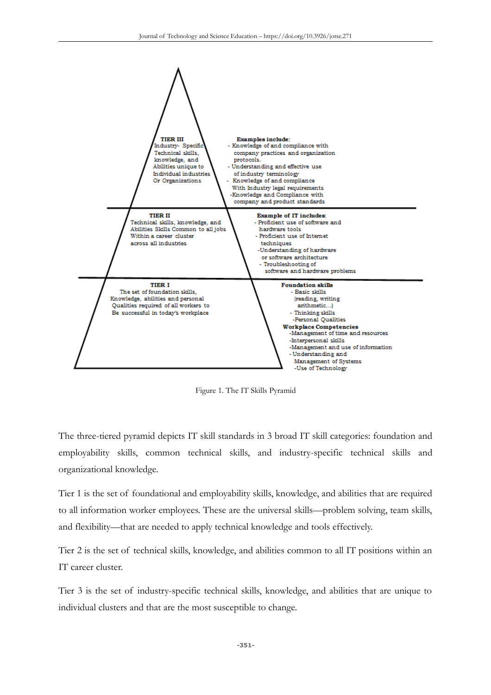

Figure 1. The IT Skills Pyramid

The three-tiered pyramid depicts IT skill standards in 3 broad IT skill categories: foundation and employability skills, common technical skills, and industry-specific technical skills and organizational knowledge.

Tier 1 is the set of foundational and employability skills, knowledge, and abilities that are required to all information worker employees. These are the universal skills—problem solving, team skills, and flexibility—that are needed to apply technical knowledge and tools effectively.

Tier 2 is the set of technical skills, knowledge, and abilities common to all IT positions within an IT career cluster.

Tier 3 is the set of industry-specific technical skills, knowledge, and abilities that are unique to individual clusters and that are the most susceptible to change.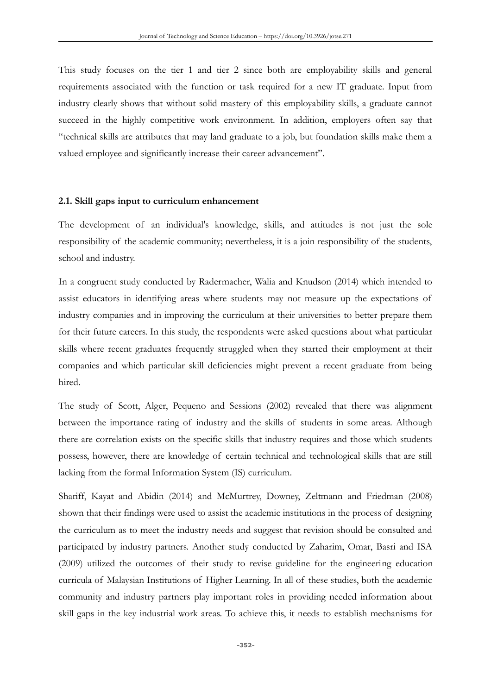This study focuses on the tier 1 and tier 2 since both are employability skills and general requirements associated with the function or task required for a new IT graduate. Input from industry clearly shows that without solid mastery of this employability skills, a graduate cannot succeed in the highly competitive work environment. In addition, employers often say that "technical skills are attributes that may land graduate to a job, but foundation skills make them a valued employee and significantly increase their career advancement".

#### **2.1. Skill gaps input to curriculum enhancement**

The development of an individual's knowledge, skills, and attitudes is not just the sole responsibility of the academic community; nevertheless, it is a join responsibility of the students, school and industry.

In a congruent study conducted by Radermacher, Walia and Knudson (2014) which intended to assist educators in identifying areas where students may not measure up the expectations of industry companies and in improving the curriculum at their universities to better prepare them for their future careers. In this study, the respondents were asked questions about what particular skills where recent graduates frequently struggled when they started their employment at their companies and which particular skill deficiencies might prevent a recent graduate from being hired.

The study of Scott, Alger, Pequeno and Sessions (2002) revealed that there was alignment between the importance rating of industry and the skills of students in some areas. Although there are correlation exists on the specific skills that industry requires and those which students possess, however, there are knowledge of certain technical and technological skills that are still lacking from the formal Information System (IS) curriculum.

Shariff, Kayat and Abidin (2014) and McMurtrey, Downey, Zeltmann and Friedman (2008) shown that their findings were used to assist the academic institutions in the process of designing the curriculum as to meet the industry needs and suggest that revision should be consulted and participated by industry partners. Another study conducted by Zaharim, Omar, Basri and ISA (2009) utilized the outcomes of their study to revise guideline for the engineering education curricula of Malaysian Institutions of Higher Learning. In all of these studies, both the academic community and industry partners play important roles in providing needed information about skill gaps in the key industrial work areas. To achieve this, it needs to establish mechanisms for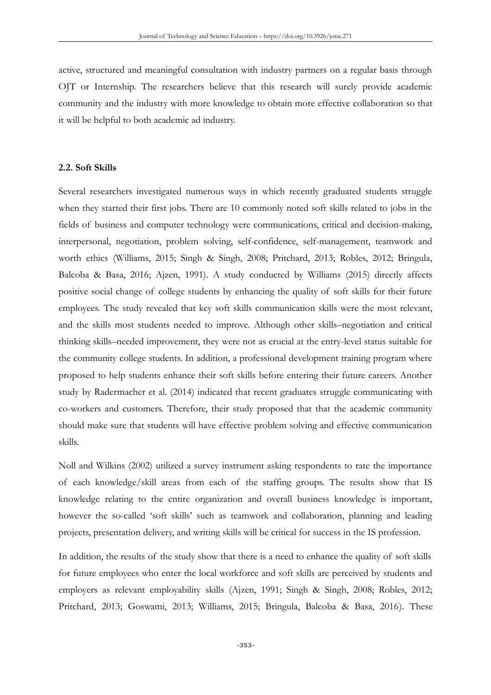active, structured and meaningful consultation with industry partners on a regular basis through OJT or Internship. The researchers believe that this research will surely provide academic community and the industry with more knowledge to obtain more effective collaboration so that it will be helpful to both academic ad industry.

## **2.2. Soft Skills**

Several researchers investigated numerous ways in which recently graduated students struggle when they started their first jobs. There are 10 commonly noted soft skills related to jobs in the fields of business and computer technology were communications, critical and decision-making, interpersonal, negotiation, problem solving, self-confidence, self-management, teamwork and worth ethics (Williams, 2015; Singh & Singh, 2008; Pritchard, 2013; Robles, 2012; Bringula, Balcoba & Basa, 2016; Ajzen, 1991). A study conducted by Williams (2015) directly affects positive social change of college students by enhancing the quality of soft skills for their future employees. The study revealed that key soft skills communication skills were the most relevant, and the skills most students needed to improve. Although other skills–negotiation and critical thinking skills–needed improvement, they were not as crucial at the entry-level status suitable for the community college students. In addition, a professional development training program where proposed to help students enhance their soft skills before entering their future careers. Another study by Radermacher et al. (2014) indicated that recent graduates struggle communicating with co-workers and customers. Therefore, their study proposed that that the academic community should make sure that students will have effective problem solving and effective communication skills.

Noll and Wilkins (2002) utilized a survey instrument asking respondents to rate the importance of each knowledge/skill areas from each of the staffing groups. The results show that IS knowledge relating to the entire organization and overall business knowledge is important, however the so-called 'soft skills' such as teamwork and collaboration, planning and leading projects, presentation delivery, and writing skills will be critical for success in the IS profession.

In addition, the results of the study show that there is a need to enhance the quality of soft skills for future employees who enter the local workforce and soft skills are perceived by students and employers as relevant employability skills (Ajzen, 1991; Singh & Singh, 2008; Robles, 2012; Pritchard, 2013; Goswami, 2013; Williams, 2015; Bringula, Balcoba & Basa, 2016). These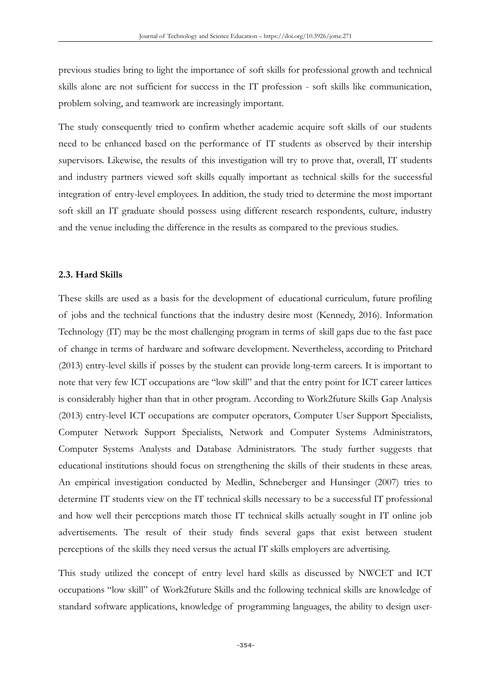previous studies bring to light the importance of soft skills for professional growth and technical skills alone are not sufficient for success in the IT profession - soft skills like communication, problem solving, and teamwork are increasingly important.

The study consequently tried to confirm whether academic acquire soft skills of our students need to be enhanced based on the performance of IT students as observed by their intership supervisors. Likewise, the results of this investigation will try to prove that, overall, IT students and industry partners viewed soft skills equally important as technical skills for the successful integration of entry-level employees. In addition, the study tried to determine the most important soft skill an IT graduate should possess using different research respondents, culture, industry and the venue including the difference in the results as compared to the previous studies.

#### **2.3. Hard Skills**

These skills are used as a basis for the development of educational curriculum, future profiling of jobs and the technical functions that the industry desire most (Kennedy, 2016). Information Technology (IT) may be the most challenging program in terms of skill gaps due to the fast pace of change in terms of hardware and software development. Nevertheless, according to Pritchard (2013) entry-level skills if posses by the student can provide long-term careers. It is important to note that very few ICT occupations are "low skill" and that the entry point for ICT career lattices is considerably higher than that in other program. According to Work2future Skills Gap Analysis (2013) entry-level ICT occupations are computer operators, Computer User Support Specialists, Computer Network Support Specialists, Network and Computer Systems Administrators, Computer Systems Analysts and Database Administrators. The study further suggests that educational institutions should focus on strengthening the skills of their students in these areas. An empirical investigation conducted by Medlin, Schneberger and Hunsinger (2007) tries to determine IT students view on the IT technical skills necessary to be a successful IT professional and how well their perceptions match those IT technical skills actually sought in IT online job advertisements. The result of their study finds several gaps that exist between student perceptions of the skills they need versus the actual IT skills employers are advertising.

This study utilized the concept of entry level hard skills as discussed by NWCET and ICT occupations "low skill" of Work2future Skills and the following technical skills are knowledge of standard software applications, knowledge of programming languages, the ability to design user-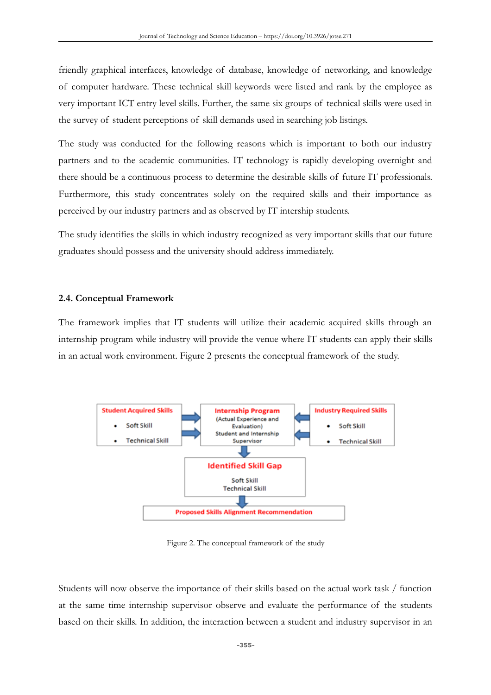friendly graphical interfaces, knowledge of database, knowledge of networking, and knowledge of computer hardware. These technical skill keywords were listed and rank by the employee as very important ICT entry level skills. Further, the same six groups of technical skills were used in the survey of student perceptions of skill demands used in searching job listings.

The study was conducted for the following reasons which is important to both our industry partners and to the academic communities. IT technology is rapidly developing overnight and there should be a continuous process to determine the desirable skills of future IT professionals. Furthermore, this study concentrates solely on the required skills and their importance as perceived by our industry partners and as observed by IT intership students.

The study identifies the skills in which industry recognized as very important skills that our future graduates should possess and the university should address immediately.

## **2.4. Conceptual Framework**

The framework implies that IT students will utilize their academic acquired skills through an internship program while industry will provide the venue where IT students can apply their skills in an actual work environment. Figure 2 presents the conceptual framework of the study.



Figure 2. The conceptual framework of the study

Students will now observe the importance of their skills based on the actual work task / function at the same time internship supervisor observe and evaluate the performance of the students based on their skills. In addition, the interaction between a student and industry supervisor in an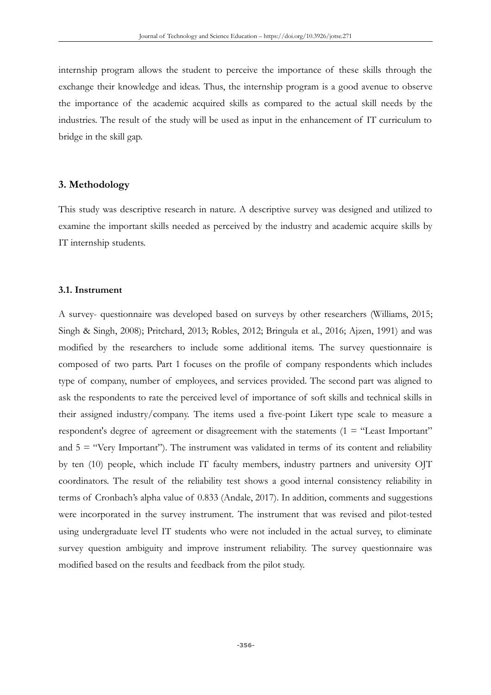internship program allows the student to perceive the importance of these skills through the exchange their knowledge and ideas. Thus, the internship program is a good avenue to observe the importance of the academic acquired skills as compared to the actual skill needs by the industries. The result of the study will be used as input in the enhancement of IT curriculum to bridge in the skill gap.

### **3. Methodology**

This study was descriptive research in nature. A descriptive survey was designed and utilized to examine the important skills needed as perceived by the industry and academic acquire skills by IT internship students.

#### **3.1. Instrument**

A survey- questionnaire was developed based on surveys by other researchers (Williams, 2015; Singh & Singh, 2008); Pritchard, 2013; Robles, 2012; Bringula et al., 2016; Ajzen, 1991) and was modified by the researchers to include some additional items. The survey questionnaire is composed of two parts. Part 1 focuses on the profile of company respondents which includes type of company, number of employees, and services provided. The second part was aligned to ask the respondents to rate the perceived level of importance of soft skills and technical skills in their assigned industry/company. The items used a five-point Likert type scale to measure a respondent's degree of agreement or disagreement with the statements  $(1 = "Least Important"$ and  $5 =$  "Very Important"). The instrument was validated in terms of its content and reliability by ten (10) people, which include IT faculty members, industry partners and university OJT coordinators. The result of the reliability test shows a good internal consistency reliability in terms of Cronbach's alpha value of 0.833 (Andale, 2017). In addition, comments and suggestions were incorporated in the survey instrument. The instrument that was revised and pilot-tested using undergraduate level IT students who were not included in the actual survey, to eliminate survey question ambiguity and improve instrument reliability. The survey questionnaire was modified based on the results and feedback from the pilot study.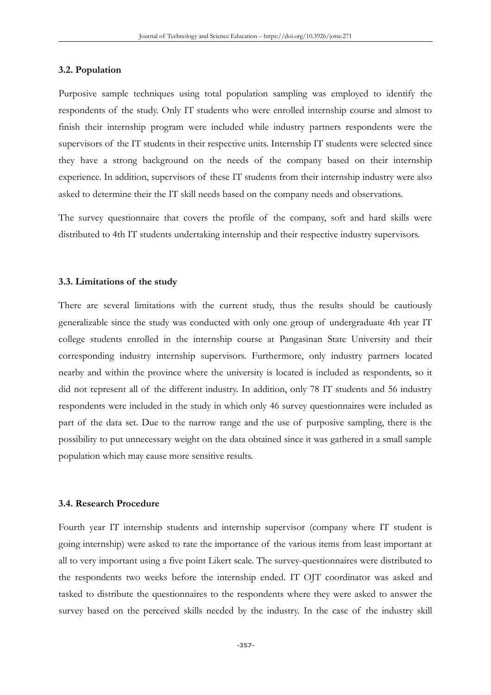#### **3.2. Population**

Purposive sample techniques using total population sampling was employed to identify the respondents of the study. Only IT students who were enrolled internship course and almost to finish their internship program were included while industry partners respondents were the supervisors of the IT students in their respective units. Internship IT students were selected since they have a strong background on the needs of the company based on their internship experience. In addition, supervisors of these IT students from their internship industry were also asked to determine their the IT skill needs based on the company needs and observations.

The survey questionnaire that covers the profile of the company, soft and hard skills were distributed to 4th IT students undertaking internship and their respective industry supervisors.

#### **3.3. Limitations of the study**

There are several limitations with the current study, thus the results should be cautiously generalizable since the study was conducted with only one group of undergraduate 4th year IT college students enrolled in the internship course at Pangasinan State University and their corresponding industry internship supervisors. Furthermore, only industry partners located nearby and within the province where the university is located is included as respondents, so it did not represent all of the different industry. In addition, only 78 IT students and 56 industry respondents were included in the study in which only 46 survey questionnaires were included as part of the data set. Due to the narrow range and the use of purposive sampling, there is the possibility to put unnecessary weight on the data obtained since it was gathered in a small sample population which may cause more sensitive results.

## **3.4. Research Procedure**

Fourth year IT internship students and internship supervisor (company where IT student is going internship) were asked to rate the importance of the various items from least important at all to very important using a five point Likert scale. The survey-questionnaires were distributed to the respondents two weeks before the internship ended. IT OJT coordinator was asked and tasked to distribute the questionnaires to the respondents where they were asked to answer the survey based on the perceived skills needed by the industry. In the case of the industry skill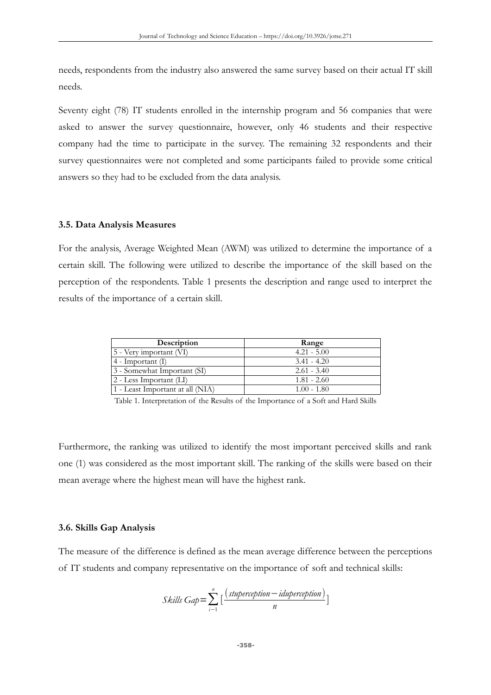needs, respondents from the industry also answered the same survey based on their actual IT skill needs.

Seventy eight (78) IT students enrolled in the internship program and 56 companies that were asked to answer the survey questionnaire, however, only 46 students and their respective company had the time to participate in the survey. The remaining 32 respondents and their survey questionnaires were not completed and some participants failed to provide some critical answers so they had to be excluded from the data analysis.

#### **3.5. Data Analysis Measures**

For the analysis, Average Weighted Mean (AWM) was utilized to determine the importance of a certain skill. The following were utilized to describe the importance of the skill based on the perception of the respondents. Table 1 presents the description and range used to interpret the results of the importance of a certain skill.

| Description                      | Range         |
|----------------------------------|---------------|
| 5 - Very important (VI)          | $4.21 - 5.00$ |
| $4$ - Important $(I)$            | $3.41 - 4.20$ |
| 3 - Somewhat Important (SI)      | $2.61 - 3.40$ |
| $2$ - Less Important (LI)        | $1.81 - 2.60$ |
| 1 - Least Important at all (NIA) | $1.00 - 1.80$ |

Table 1. Interpretation of the Results of the Importance of a Soft and Hard Skills

Furthermore, the ranking was utilized to identify the most important perceived skills and rank one (1) was considered as the most important skill. The ranking of the skills were based on their mean average where the highest mean will have the highest rank.

#### **3.6. Skills Gap Analysis**

The measure of the difference is defined as the mean average difference between the perceptions of IT students and company representative on the importance of soft and technical skills:

*Skills* 
$$
Gap = \sum_{i=1}^{n} \left[ \frac{(stuperception - iduperception)}{n} \right]
$$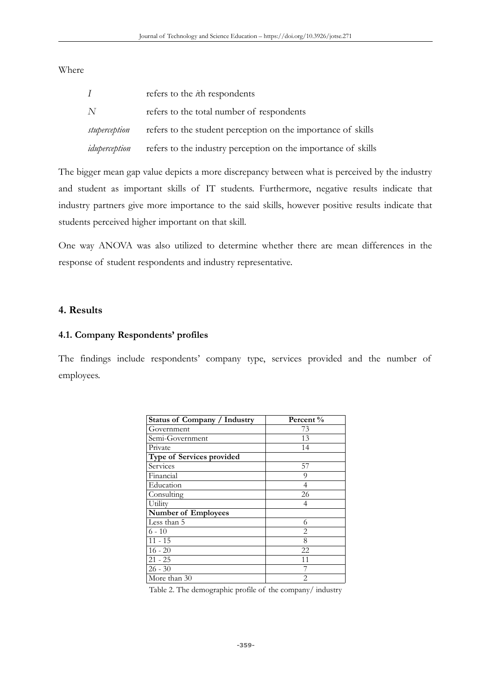Where

|               | refers to the <i>i</i> th respondents                         |
|---------------|---------------------------------------------------------------|
| N             | refers to the total number of respondents                     |
| stuperception | refers to the student perception on the importance of skills  |
| iduperception | refers to the industry perception on the importance of skills |

The bigger mean gap value depicts a more discrepancy between what is perceived by the industry and student as important skills of IT students. Furthermore, negative results indicate that industry partners give more importance to the said skills, however positive results indicate that students perceived higher important on that skill.

One way ANOVA was also utilized to determine whether there are mean differences in the response of student respondents and industry representative.

# **4. Results**

# **4.1. Company Respondents' profiles**

The findings include respondents' company type, services provided and the number of employees.

| <b>Status of Company / Industry</b> | Percent %      |
|-------------------------------------|----------------|
| Government                          | 73             |
| Semi-Government                     | 13             |
| Private                             | 14             |
| Type of Services provided           |                |
| Services                            | 57             |
| Financial                           | 9              |
| Education                           | $\overline{4}$ |
| Consulting                          | 26             |
| Utility                             | 4              |
| <b>Number of Employees</b>          |                |
| Less than 5                         | 6              |
| $6 - 10$                            | $\overline{2}$ |
| $11 - 15$                           | 8              |
| $16 - 20$                           | 22             |
| $21 - 25$                           | 11             |
| $26 - 30$                           | 7              |
| More than 30                        | $\overline{2}$ |

Table 2. The demographic profile of the company/ industry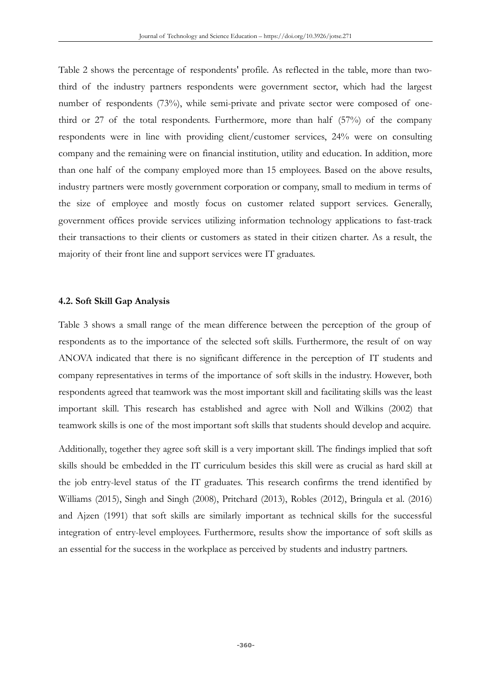Table 2 shows the percentage of respondents' profile. As reflected in the table, more than twothird of the industry partners respondents were government sector, which had the largest number of respondents (73%), while semi-private and private sector were composed of onethird or 27 of the total respondents. Furthermore, more than half (57%) of the company respondents were in line with providing client/customer services, 24% were on consulting company and the remaining were on financial institution, utility and education. In addition, more than one half of the company employed more than 15 employees. Based on the above results, industry partners were mostly government corporation or company, small to medium in terms of the size of employee and mostly focus on customer related support services. Generally, government offices provide services utilizing information technology applications to fast-track their transactions to their clients or customers as stated in their citizen charter. As a result, the majority of their front line and support services were IT graduates.

## **4.2. Soft Skill Gap Analysis**

Table 3 shows a small range of the mean difference between the perception of the group of respondents as to the importance of the selected soft skills. Furthermore, the result of on way ANOVA indicated that there is no significant difference in the perception of IT students and company representatives in terms of the importance of soft skills in the industry. However, both respondents agreed that teamwork was the most important skill and facilitating skills was the least important skill. This research has established and agree with Noll and Wilkins (2002) that teamwork skills is one of the most important soft skills that students should develop and acquire.

Additionally, together they agree soft skill is a very important skill. The findings implied that soft skills should be embedded in the IT curriculum besides this skill were as crucial as hard skill at the job entry-level status of the IT graduates. This research confirms the trend identified by Williams (2015), Singh and Singh (2008), Pritchard (2013), Robles (2012), Bringula et al. (2016) and Ajzen (1991) that soft skills are similarly important as technical skills for the successful integration of entry-level employees. Furthermore, results show the importance of soft skills as an essential for the success in the workplace as perceived by students and industry partners.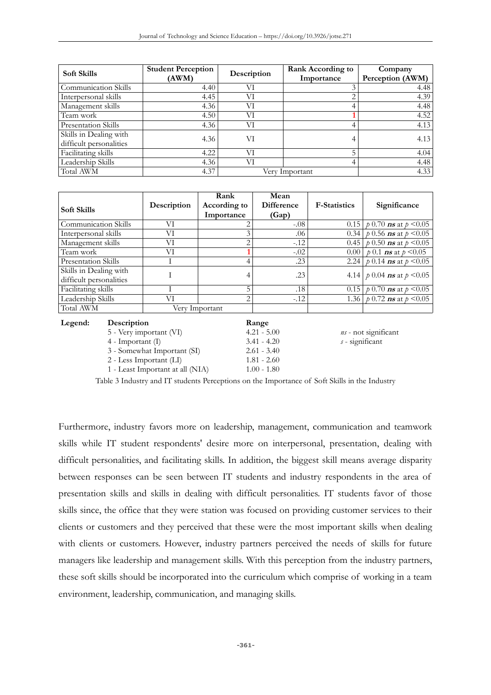| <b>Soft Skills</b>          | <b>Student Perception</b> | Description | <b>Rank According to</b> | Company          |
|-----------------------------|---------------------------|-------------|--------------------------|------------------|
|                             | (AWM)                     |             | Importance               | Perception (AWM) |
| <b>Communication Skills</b> | 4.40                      | VI          |                          | 4.48             |
| Interpersonal skills        | 4.45                      | VI          |                          | 4.39             |
| Management skills           | 4.36                      | VI          |                          | 4.48             |
| Team work                   | 4.50                      | VI          |                          | 4.52             |
| Presentation Skills         | 4.36                      | VI          |                          | 4.13             |
| Skills in Dealing with      | 4.36                      | VI          |                          | 4.13             |
| difficult personalities     |                           |             |                          |                  |
| Facilitating skills         | 4.22                      | VI          |                          | 4.04             |
| Leadership Skills           | 4.36                      | VI          |                          | 4.48             |
| Total AWM                   | 4.37                      |             | Very Important           | 4.33             |

|                         |             | Rank           | Mean              |                     |                                              |
|-------------------------|-------------|----------------|-------------------|---------------------|----------------------------------------------|
| <b>Soft Skills</b>      | Description | According to   | <b>Difference</b> | <b>F-Statistics</b> | Significance                                 |
|                         |             | Importance     | (Gap)             |                     |                                              |
| Communication Skills    | VI          |                | $-.08$            |                     | 0.15   $p \, 0.70$ ns at $p \leq 0.05$       |
| Interpersonal skills    | VI          |                | .06               |                     | 0.34 $\vert p \vert 0.56$ ns at $p \le 0.05$ |
| Management skills       | VI          |                | $-.12$            |                     | 0.45   $p \, 0.50$ ns at $p \le 0.05$        |
| Team work               | VI          |                | $-.02$            | 0.001               | $p \neq 0.1$ ns at $p \leq 0.05$             |
| Presentation Skills     |             |                | .23               |                     | 2.24   $p \, 0.14$ ns at $p \le 0.05$        |
| Skills in Dealing with  |             |                | .23               |                     | 4.14 $\vert p \, 0.04$ ns at $p \leq 0.05$   |
| difficult personalities |             |                |                   |                     |                                              |
| Facilitating skills     |             |                | .18               |                     | 0.15   $p \, 0.70$ ns at $p \leq 0.05$       |
| Leadership Skills       | VI          |                | $-.12$            |                     | 1.36 $\frac{1}{2}$ 0.72 ns at $p < 0.05$     |
| <b>Total AWM</b>        |             | Very Important |                   |                     |                                              |

# **Legend: Description Range**<br>5 - Very important (VI) 4.21 - 5.00

5 - Very important (VI) 4.21 - 5.00 *ns* - not significant

4 - Important (I) 3.41 - 4.20 *s* - significant 3 - Somewhat Important (SI) 2.61 - 3.40 3 - Somewhat Important (SI)

2 - Less Important (LI) 1.81 - 2.60<br>1 - Least Important at all (NIA) 1.00 - 1.80 1 - Least Important at all (NIA)

Table 3 Industry and IT students Perceptions on the Importance of Soft Skills in the Industry

Furthermore, industry favors more on leadership, management, communication and teamwork skills while IT student respondents' desire more on interpersonal, presentation, dealing with difficult personalities, and facilitating skills. In addition, the biggest skill means average disparity between responses can be seen between IT students and industry respondents in the area of presentation skills and skills in dealing with difficult personalities. IT students favor of those skills since, the office that they were station was focused on providing customer services to their clients or customers and they perceived that these were the most important skills when dealing with clients or customers. However, industry partners perceived the needs of skills for future managers like leadership and management skills. With this perception from the industry partners, these soft skills should be incorporated into the curriculum which comprise of working in a team environment, leadership, communication, and managing skills.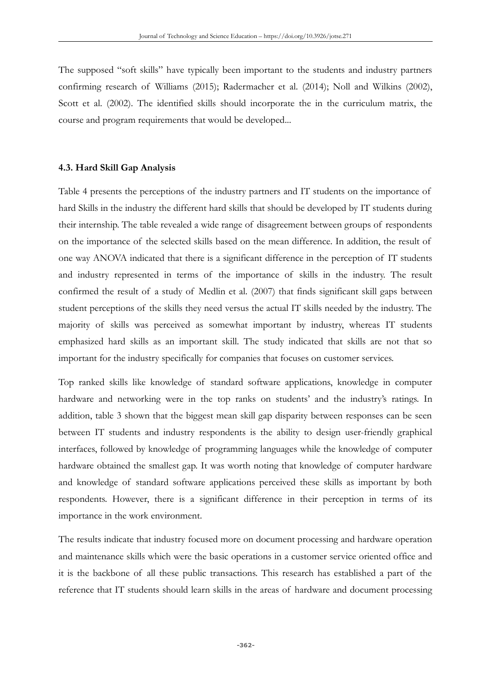The supposed "soft skills" have typically been important to the students and industry partners confirming research of Williams (2015); Radermacher et al. (2014); Noll and Wilkins (2002), Scott et al. (2002). The identified skills should incorporate the in the curriculum matrix, the course and program requirements that would be developed...

## **4.3. Hard Skill Gap Analysis**

Table 4 presents the perceptions of the industry partners and IT students on the importance of hard Skills in the industry the different hard skills that should be developed by IT students during their internship. The table revealed a wide range of disagreement between groups of respondents on the importance of the selected skills based on the mean difference. In addition, the result of one way ANOVA indicated that there is a significant difference in the perception of IT students and industry represented in terms of the importance of skills in the industry. The result confirmed the result of a study of Medlin et al. (2007) that finds significant skill gaps between student perceptions of the skills they need versus the actual IT skills needed by the industry. The majority of skills was perceived as somewhat important by industry, whereas IT students emphasized hard skills as an important skill. The study indicated that skills are not that so important for the industry specifically for companies that focuses on customer services.

Top ranked skills like knowledge of standard software applications, knowledge in computer hardware and networking were in the top ranks on students' and the industry's ratings. In addition, table 3 shown that the biggest mean skill gap disparity between responses can be seen between IT students and industry respondents is the ability to design user-friendly graphical interfaces, followed by knowledge of programming languages while the knowledge of computer hardware obtained the smallest gap. It was worth noting that knowledge of computer hardware and knowledge of standard software applications perceived these skills as important by both respondents. However, there is a significant difference in their perception in terms of its importance in the work environment.

The results indicate that industry focused more on document processing and hardware operation and maintenance skills which were the basic operations in a customer service oriented office and it is the backbone of all these public transactions. This research has established a part of the reference that IT students should learn skills in the areas of hardware and document processing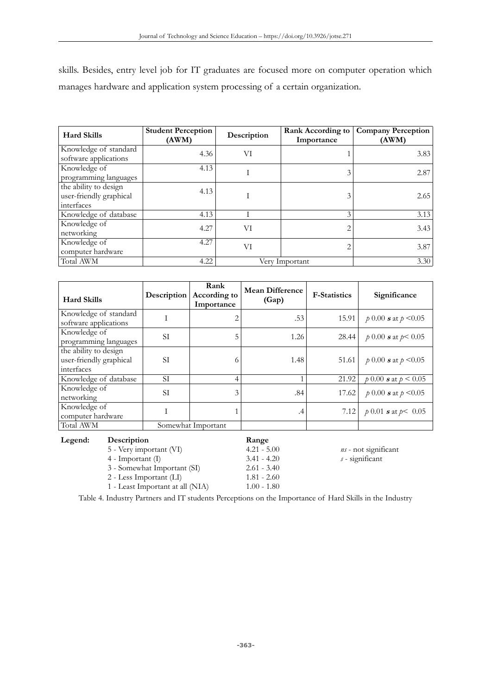skills. Besides, entry level job for IT graduates are focused more on computer operation which manages hardware and application system processing of a certain organization.

| <b>Hard Skills</b>      | <b>Student Perception</b><br>(AWM) | Description | <b>Rank According to</b><br>Importance | <b>Company Perception</b><br>(AWM) |  |
|-------------------------|------------------------------------|-------------|----------------------------------------|------------------------------------|--|
| Knowledge of standard   | 4.36                               | VI          |                                        | 3.83                               |  |
| software applications   |                                    |             |                                        |                                    |  |
| Knowledge of            | 4.13                               |             | 3                                      | 2.87                               |  |
| programming languages   |                                    |             |                                        |                                    |  |
| the ability to design   | 4.13                               |             |                                        |                                    |  |
| user-friendly graphical |                                    |             | 3                                      | 2.65                               |  |
| interfaces              |                                    |             |                                        |                                    |  |
| Knowledge of database   | 4.13                               |             | 3                                      | 3.13                               |  |
| Knowledge of            | 4.27                               | VI          | $\overline{2}$                         | 3.43                               |  |
| networking              |                                    |             |                                        |                                    |  |
| Knowledge of            | 4.27                               | VI          | 2                                      | 3.87                               |  |
| computer hardware       |                                    |             |                                        |                                    |  |
| Total AWM               | 4.22                               |             | Very Important                         | 3.30                               |  |

| <b>Hard Skills</b>                                             | Description | Rank<br>According to<br>Importance | <b>Mean Difference</b><br>(Gap) | <b>F-Statistics</b> | Significance                     |
|----------------------------------------------------------------|-------------|------------------------------------|---------------------------------|---------------------|----------------------------------|
| Knowledge of standard<br>software applications                 |             | $\overline{c}$                     | .53                             | 15.91               | $p\ 0.00$ s at $p \leq 0.05$     |
| Knowledge of<br>programming languages                          | <b>SI</b>   | 5                                  | 1.26                            | 28.44               | $p \neq 0.00$ s at $p < 0.05$    |
| the ability to design<br>user-friendly graphical<br>interfaces | <b>SI</b>   | 6                                  | 1.48                            | 51.61               | $p \neq 0.00$ s at $p \leq 0.05$ |
| Knowledge of database                                          | <b>SI</b>   | 4                                  | $\mathbf{1}$                    | 21.92               | $p\ 0.00$ s at $p < 0.05$        |
| Knowledge of<br>networking                                     | <b>SI</b>   | 3                                  | .84                             | 17.62               | $p\ 0.00$ s at $p \leq 0.05$     |
| Knowledge of<br>computer hardware                              |             |                                    | .4                              | 7.12                | $p \neq 0.01$ s at $p < 0.05$    |
| Total AWM                                                      |             | Somewhat Important                 |                                 |                     |                                  |

# **Legend: Description Range**<br>5 - Very important (VI) 4.21 - 5.00

| 5 - Very important (VI)     | $4.21 - 5.00$ | $ns$ - not significant |
|-----------------------------|---------------|------------------------|
| 4 - Important (I)           | $3.41 - 4.20$ | $s$ - significant      |
| 3 - Somewhat Important (SI) | $2.61 - 3.40$ |                        |

3 - Somewhat Important (SI) 2 - Less Important (LI) 1.81 - 2.60

1 - Least Important at all (NIA) 1.00 - 1.80

Table 4. Industry Partners and IT students Perceptions on the Importance of Hard Skills in the Industry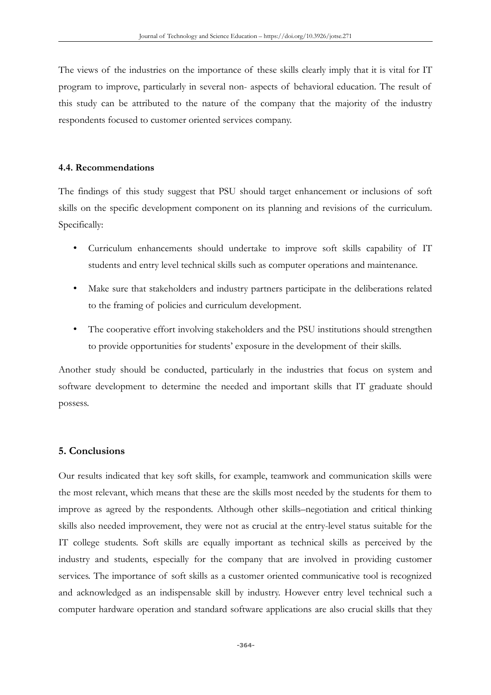The views of the industries on the importance of these skills clearly imply that it is vital for IT program to improve, particularly in several non- aspects of behavioral education. The result of this study can be attributed to the nature of the company that the majority of the industry respondents focused to customer oriented services company.

## **4.4. Recommendations**

The findings of this study suggest that PSU should target enhancement or inclusions of soft skills on the specific development component on its planning and revisions of the curriculum. Specifically:

- Curriculum enhancements should undertake to improve soft skills capability of IT students and entry level technical skills such as computer operations and maintenance.
- Make sure that stakeholders and industry partners participate in the deliberations related to the framing of policies and curriculum development.
- The cooperative effort involving stakeholders and the PSU institutions should strengthen to provide opportunities for students' exposure in the development of their skills.

Another study should be conducted, particularly in the industries that focus on system and software development to determine the needed and important skills that IT graduate should possess.

# **5. Conclusions**

Our results indicated that key soft skills, for example, teamwork and communication skills were the most relevant, which means that these are the skills most needed by the students for them to improve as agreed by the respondents. Although other skills–negotiation and critical thinking skills also needed improvement, they were not as crucial at the entry-level status suitable for the IT college students. Soft skills are equally important as technical skills as perceived by the industry and students, especially for the company that are involved in providing customer services. The importance of soft skills as a customer oriented communicative tool is recognized and acknowledged as an indispensable skill by industry. However entry level technical such a computer hardware operation and standard software applications are also crucial skills that they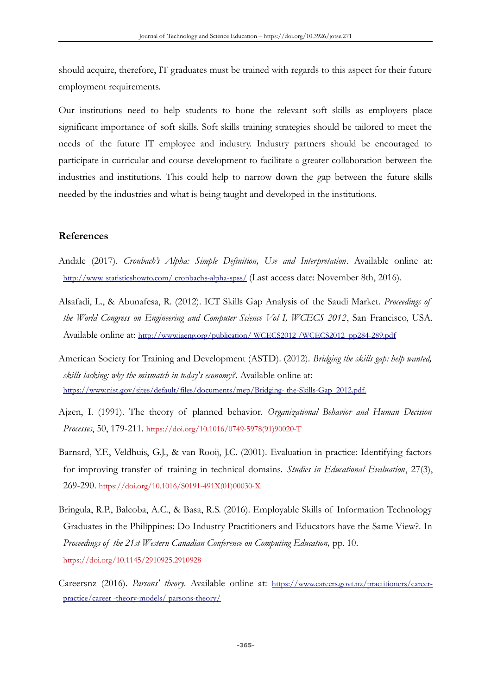should acquire, therefore, IT graduates must be trained with regards to this aspect for their future employment requirements.

Our institutions need to help students to hone the relevant soft skills as employers place significant importance of soft skills. Soft skills training strategies should be tailored to meet the needs of the future IT employee and industry. Industry partners should be encouraged to participate in curricular and course development to facilitate a greater collaboration between the industries and institutions. This could help to narrow down the gap between the future skills needed by the industries and what is being taught and developed in the institutions.

## **References**

- Andale (2017). *Cronbach's Alpha: Simple Definition, Use and Interpretation*. Available online at: [http://www. statisticshowto.com/ cronbachs-alpha-spss/](file:///C:/Users/Montse%20Le%C3%B3n/Desktop/Omnia%20art%C3%ADculos/JOTSE/http:%2F%2Fwww.%20statisticshowto.com%2F%20cronbachs-alpha-spss%2F) (Last access date: November 8th, 2016).
- Alsafadi, L., & Abunafesa, R. (2012). ICT Skills Gap Analysis of the Saudi Market. *Proceedings of the World Congress on Engineering and Computer Science Vol I, WCECS 2012*, San Francisco, USA. Available online at: [http://www.iaeng.org/publication/ WCECS2012 /WCECS2012\\_pp284-289.pdf](http://www.iaeng.org/publication/%20WCECS2012%20/WCECS2012_pp284-289.pdf)
- American Society for Training and Development (ASTD). (2012). *Bridging the skills gap: help wanted, skills lacking: why the mismatch in today's economy?*. Available online at: [https://www.nist.gov/sites/default/files/documents/mep/Bridging- the-Skills-Gap\\_2012.pdf.](https://www.nist.gov/sites/default/files/documents/mep/Bridging-%20the-Skills-Gap_2012.pdf.)
- Ajzen, I. (1991). The theory of planned behavior. *Organizational Behavior and Human Decision Processes*, 50, 179-211. [https://doi.org/10.1016/0749-5978\(91\)90020-T](https://doi.org/10.1016/0749-5978(91)90020-T)
- Barnard, Y.F., Veldhuis, G.J., & van Rooij, J.C. (2001). Evaluation in practice: Identifying factors for improving transfer of training in technical domains. *Studies in Educational Evaluation*, 27(3), 269-290. [https://doi.org/10.1016/S0191-491X\(01\)00030-X](https://doi.org/10.1016/S0191-491X(01)00030-X)
- Bringula, R.P., Balcoba, A.C., & Basa, R.S. (2016). Employable Skills of Information Technology Graduates in the Philippines: Do Industry Practitioners and Educators have the Same View?. In *Proceedings of the 21st Western Canadian Conference on Computing Education,* pp. 10. <https://doi.org/10.1145/2910925.2910928>
- Careersnz (2016). *Parsons' theory*. Available online at: [https://www.careers.govt.nz/practitioners/career](https://www.careers.govt.nz/practitioners/career-practice/career%20-theory-models/%20parsons-theory/)[practice/career -theory-models/ parsons-theory/](https://www.careers.govt.nz/practitioners/career-practice/career%20-theory-models/%20parsons-theory/)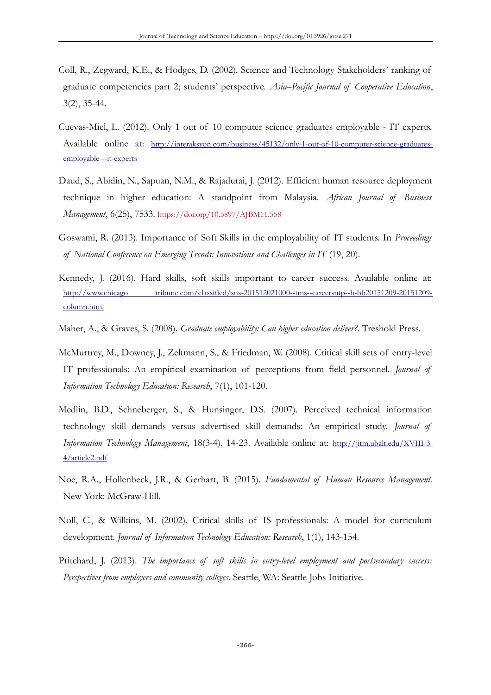- Coll, R., Zegward, K.E., & Hodges, D. (2002). Science and Technology Stakeholders' ranking of graduate competencies part 2; students' perspective. *Asia–Pacific Journal of Cooperative Education*, 3(2), 35-44.
- Cuevas-Miel, L. (2012). Only 1 out of 10 computer science graduates employable IT experts. Available online at: [http://interaksyon.com/business/45132/only-1-out-of-10-computer-science-graduates](http://interaksyon.com/business/45132/only-1-out-of-10-computer-science-graduates-employable---it-experts)[employable---it-experts](http://interaksyon.com/business/45132/only-1-out-of-10-computer-science-graduates-employable---it-experts)
- Daud, S., Abidin, N., Sapuan, N.M., & Rajadurai, J. (2012). Efficient human resource deployment technique in higher education: A standpoint from Malaysia. *African Journal of Business Management*, 6(25), 7533. <https://doi.org/10.5897/AJBM11.558>
- Goswami, R. (2013). Importance of Soft Skills in the employability of IT students. In *Proceedings of National Conference on Emerging Trends: Innovations and Challenges in IT* (19, 20).
- Kennedy, J. (2016). Hard skills, soft skills important to career success. Available online at: [http://www.chicago tribune.com/classified/sns-201512021000--tms--careersntp--h-bb20151209-20151209](file:///C:/Users/Montse%20Le%C3%B3n/Desktop/Omnia%20art%C3%ADculos/JOTSE/http:%2F%2Fwww.chicago%20tribune.com%2Fclassified%2Fsns-201512021000--tms--careersntp--h-bb20151209-20151209-column.html) [column.html](file:///C:/Users/Montse%20Le%C3%B3n/Desktop/Omnia%20art%C3%ADculos/JOTSE/http:%2F%2Fwww.chicago%20tribune.com%2Fclassified%2Fsns-201512021000--tms--careersntp--h-bb20151209-20151209-column.html)
- Maher, A., & Graves, S. (2008). *Graduate employability: Can higher education deliver?*. Treshold Press.
- McMurtrey, M., Downey, J., Zeltmann, S., & Friedman, W. (2008). Critical skill sets of entry-level IT professionals: An empirical examination of perceptions from field personnel. *Journal of Information Technology Education: Research*, 7(1), 101-120.
- Medlin, B.D., Schneberger, S., & Hunsinger, D.S. (2007). Perceived technical information technology skill demands versus advertised skill demands: An empirical study. *Journal of Information Technology Management*, 18(3-4), 14-23. Available online at: [http://jitm.ubalt.edu/XVIII-3-](http://jitm.ubalt.edu/XVIII-3-4/article2.pdf) [4/article2.pdf](http://jitm.ubalt.edu/XVIII-3-4/article2.pdf)
- Noe, R.A., Hollenbeck, J.R., & Gerhart, B. (2015). *Fundamental of Human Resource Management*. New York: McGraw-Hill.
- Noll, C., & Wilkins, M. (2002). Critical skills of IS professionals: A model for curriculum development. *Journal of Information Technology Education: Research*, 1(1), 143-154.
- Pritchard, J. (2013). *The importance of soft skills in entry-level employment and postsecondary success: Perspectives from employers and community colleges*. Seattle, WA: Seattle Jobs Initiative.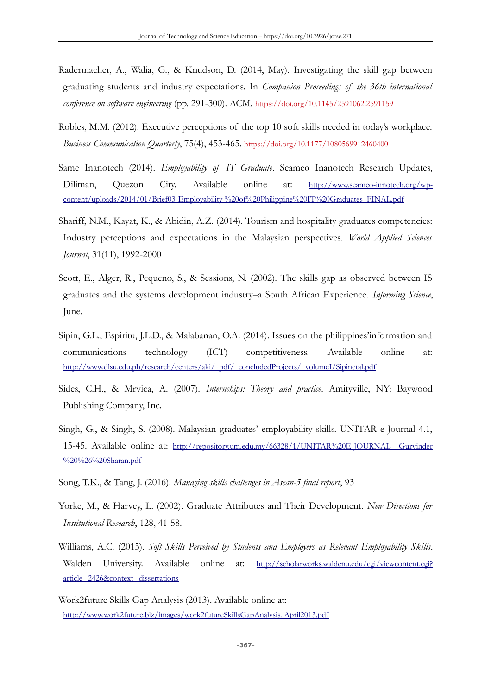- Radermacher, A., Walia, G., & Knudson, D. (2014, May). Investigating the skill gap between graduating students and industry expectations. In *Companion Proceedings of the 36th international conference on software engineering* (pp. 291-300). ACM. <https://doi.org/10.1145/2591062.2591159>
- Robles, M.M. (2012). Executive perceptions of the top 10 soft skills needed in today's workplace. *Business Communication Quarterly*, 75(4), 453-465. <https://doi.org/10.1177/1080569912460400>
- Same Inanotech (2014). *Employability of IT Graduate*. Seameo Inanotech Research Updates, Diliman, Quezon City. Available online at: [http://www.seameo-innotech.org/wp](http://www.seameo-innotech.org/wp-content/uploads/2014/01/Brief03-Employability%20%20of%20Philippine%20IT%20Graduates_FINAL.pdf)[content/uploads/2014/01/Brief03-Employability %20of%20Philippine%20IT%20Graduates\\_FINAL.pdf](http://www.seameo-innotech.org/wp-content/uploads/2014/01/Brief03-Employability%20%20of%20Philippine%20IT%20Graduates_FINAL.pdf)
- Shariff, N.M., Kayat, K., & Abidin, A.Z. (2014). Tourism and hospitality graduates competencies: Industry perceptions and expectations in the Malaysian perspectives. *World Applied Sciences Journal*, 31(11), 1992-2000
- Scott, E., Alger, R., Pequeno, S., & Sessions, N. (2002). The skills gap as observed between IS graduates and the systems development industry–a South African Experience. *Informing Science*, June.
- Sipin, G.L., Espiritu, J.L.D., & Malabanan, O.A. (2014). Issues on the philippines'information and communications technology (ICT) competitiveness. Available online at: [http://www.dlsu.edu.ph/research/centers/aki/\\_pdf/\\_concludedProjects/\\_volumeI/Sipinetal.pdf](http://www.dlsu.edu.ph/research/centers/aki/_pdf/_concludedProjects/_volumeI/Sipinetal.pdf)
- Sides, C.H., & Mrvica, A. (2007). *Internships: Theory and practice*. Amityville, NY: Baywood Publishing Company, Inc.
- Singh, G., & Singh, S. (2008). Malaysian graduates' employability skills. UNITAR e-Journal 4.1, 15-45. Available online at: [http://repository.um.edu.my/66328/1/UNITAR%20E-JOURNAL \\_Gurvinder](http://repository.um.edu.my/66328/1/UNITAR%20E-JOURNAL%20_Gurvinder%20%26%20Sharan.pdf) [%20%26%20Sharan.pdf](http://repository.um.edu.my/66328/1/UNITAR%20E-JOURNAL%20_Gurvinder%20%26%20Sharan.pdf)

Song, T.K., & Tang, J. (2016). *Managing skills challenges in Asean-5 final report*, 93

- Yorke, M., & Harvey, L. (2002). Graduate Attributes and Their Development. *New Directions for Institutional Research*, 128, 41-58.
- Williams, A.C. (2015). *Soft Skills Perceived by Students and Employers as Relevant Employability Skills*. Walden University. Available online at: [http://scholarworks.waldenu.edu/cgi/viewcontent.cgi?](http://scholarworks.waldenu.edu/cgi/viewcontent.cgi?article=2426&context=dissertations) [article=2426&context=dissertations](http://scholarworks.waldenu.edu/cgi/viewcontent.cgi?article=2426&context=dissertations)
- Work2future Skills Gap Analysis (2013). Available online at: [http://www.work2future.biz/images/work2futureSkillsGapAnalysis. April2013.pdf](http://www.work2future.biz/images/work2futureSkillsGapAnalysis.%20April2013.pdf)